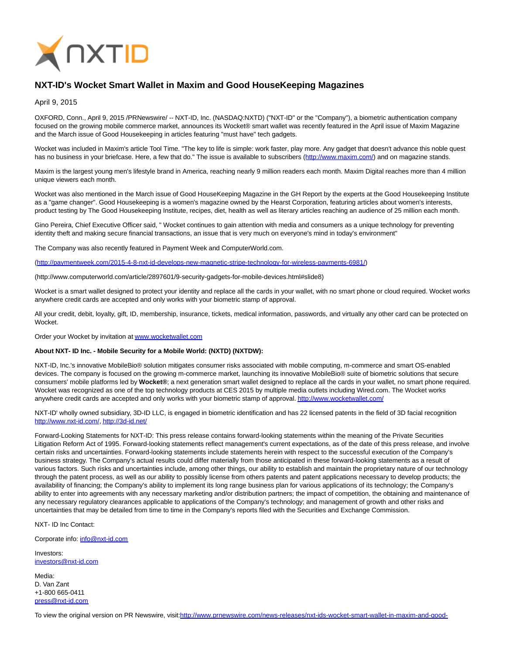

## **NXT-ID's Wocket Smart Wallet in Maxim and Good HouseKeeping Magazines**

April 9, 2015

OXFORD, Conn., April 9, 2015 /PRNewswire/ -- NXT-ID, Inc. (NASDAQ:NXTD) ("NXT-ID" or the "Company"), a biometric authentication company focused on the growing mobile commerce market, announces its Wocket® smart wallet was recently featured in the April issue of Maxim Magazine and the March issue of Good Housekeeping in articles featuring "must have" tech gadgets.

Wocket was included in Maxim's article Tool Time. "The key to life is simple: work faster, play more. Any gadget that doesn't advance this noble quest has no business in your briefcase. Here, a few that do." The issue is available to subscribers [\(http://www.maxim.com/\)](http://www.maxim.com/) and on magazine stands.

Maxim is the largest young men's lifestyle brand in America, reaching nearly 9 million readers each month. Maxim Digital reaches more than 4 million unique viewers each month.

Wocket was also mentioned in the March issue of Good HouseKeeping Magazine in the GH Report by the experts at the Good Housekeeping Institute as a "game changer". Good Housekeeping is a women's magazine owned by the Hearst Corporation, featuring articles about women's interests, product testing by The Good Housekeeping Institute, recipes, diet, health as well as literary articles reaching an audience of 25 million each month.

Gino Pereira, Chief Executive Officer said, " Wocket continues to gain attention with media and consumers as a unique technology for preventing identity theft and making secure financial transactions, an issue that is very much on everyone's mind in today's environment"

The Company was also recently featured in Payment Week and ComputerWorld.com.

[\(http://paymentweek.com/2015-4-8-nxt-id-develops-new-magnetic-stripe-technology-for-wireless-payments-6981/\)](http://paymentweek.com/2015-4-8-nxt-id-develops-new-magnetic-stripe-technology-for-wireless-payments-6981/)

(http://www.computerworld.com/article/2897601/9-security-gadgets-for-mobile-devices.html#slide8)

Wocket is a smart wallet designed to protect your identity and replace all the cards in your wallet, with no smart phone or cloud required. Wocket works anywhere credit cards are accepted and only works with your biometric stamp of approval.

All your credit, debit, loyalty, gift, ID, membership, insurance, tickets, medical information, passwords, and virtually any other card can be protected on Wocket.

Order your Wocket by invitation a[t www.wocketwallet.com](http://www.wocketwallet.com/)

## **About NXT- ID Inc. - Mobile Security for a Mobile World: (NXTD) (NXTDW):**

NXT-ID, Inc.'s innovative MobileBio® solution mitigates consumer risks associated with mobile computing, m-commerce and smart OS-enabled devices. The company is focused on the growing m-commerce market, launching its innovative MobileBio® suite of biometric solutions that secure consumers' mobile platforms led by **Wocket®**; a next generation smart wallet designed to replace all the cards in your wallet, no smart phone required. Wocket was recognized as one of the top technology products at CES 2015 by multiple media outlets including Wired.com. The Wocket works anywhere credit cards are accepted and only works with your biometric stamp of approval[. http://www.wocketwallet.com/](http://www.wocketwallet.com/)

NXT-ID' wholly owned subsidiary, 3D-ID LLC, is engaged in biometric identification and has 22 licensed patents in the field of 3D facial recognition [http://www.nxt-id.com/,](http://www.nxt-id.com/)<http://3d-id.net/>

Forward-Looking Statements for NXT-ID: This press release contains forward-looking statements within the meaning of the Private Securities Litigation Reform Act of 1995. Forward-looking statements reflect management's current expectations, as of the date of this press release, and involve certain risks and uncertainties. Forward-looking statements include statements herein with respect to the successful execution of the Company's business strategy. The Company's actual results could differ materially from those anticipated in these forward-looking statements as a result of various factors. Such risks and uncertainties include, among other things, our ability to establish and maintain the proprietary nature of our technology through the patent process, as well as our ability to possibly license from others patents and patent applications necessary to develop products; the availability of financing; the Company's ability to implement its long range business plan for various applications of its technology; the Company's ability to enter into agreements with any necessary marketing and/or distribution partners; the impact of competition, the obtaining and maintenance of any necessary regulatory clearances applicable to applications of the Company's technology; and management of growth and other risks and uncertainties that may be detailed from time to time in the Company's reports filed with the Securities and Exchange Commission.

NXT- ID Inc Contact:

Corporate info: [info@nxt-id.com](mailto:info@nxt-id.com)

Investors: [investors@nxt-id.com](mailto:investors@nxt-id.com)

Media: D. Van Zant +1-800 665-0411 [press@nxt-id.com](mailto:press@nxt-id.com)

To view the original version on PR Newswire, visit[:http://www.prnewswire.com/news-releases/nxt-ids-wocket-smart-wallet-in-maxim-and-good-](http://www.prnewswire.com/news-releases/nxt-ids-wocket-smart-wallet-in-maxim-and-good-housekeeping-magazines-300063486.html)